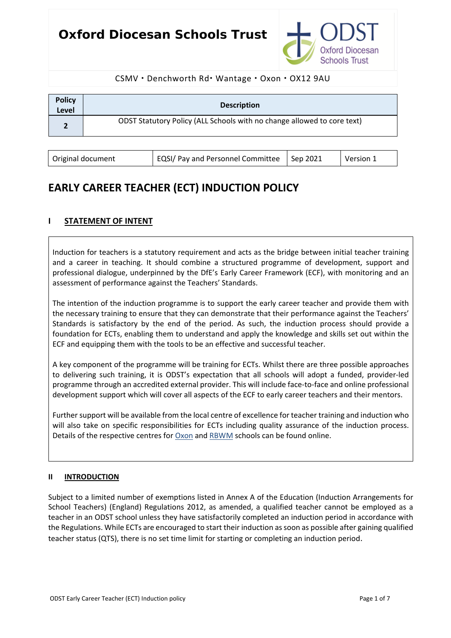# **Oxford Diocesan Schools Trust**



### CSMV · Denchworth Rd · Wantage · Oxon · OX12 9AU

| <b>Policy</b><br>Level | <b>Description</b>                                                      |
|------------------------|-------------------------------------------------------------------------|
|                        | ODST Statutory Policy (ALL Schools with no change allowed to core text) |
|                        |                                                                         |

| Original document | EQSI/ Pay and Personnel Committee   Sep 2021 | Version 1 |  |
|-------------------|----------------------------------------------|-----------|--|
|                   |                                              |           |  |

# **EARLY CAREER TEACHER (ECT) INDUCTION POLICY**

## **I STATEMENT OF INTENT**

Induction for teachers is a statutory requirement and acts as the bridge between initial teacher training and a career in teaching. It should combine a structured programme of development, support and professional dialogue, underpinned by the DfE's Early Career Framework (ECF), with monitoring and an assessment of performance against the Teachers' Standards.

The intention of the induction programme is to support the early career teacher and provide them with the necessary training to ensure that they can demonstrate that their performance against the Teachers' Standards is satisfactory by the end of the period. As such, the induction process should provide a foundation for ECTs, enabling them to understand and apply the knowledge and skills set out within the ECF and equipping them with the tools to be an effective and successful teacher.

A key component of the programme will be training for ECTs. Whilst there are three possible approaches to delivering such training, it is ODST's expectation that all schools will adopt a funded, provider-led programme through an accredited external provider. This will include face-to-face and online professional development support which will cover all aspects of the ECF to early career teachers and their mentors.

Further support will be available from the local centre of excellence for teacher training and induction who will also take on specific responsibilities for ECTs including quality assurance of the induction process. Details of the respective centres for [Oxon](https://oxfordshireteachingschoolhub.org.uk/) and [RBWM](https://www.lgs.slough.sch.uk/page/?title=Teaching+School+Hub&pid=324) schools can be found online.

#### **II INTRODUCTION**

Subject to a limited number of exemptions listed in Annex A of the Education (Induction Arrangements for School Teachers) (England) Regulations 2012, as amended, a qualified teacher cannot be employed as a teacher in an ODST school unless they have satisfactorily completed an induction period in accordance with the Regulations. While ECTs are encouraged to start their induction as soon as possible after gaining qualified teacher status (QTS), there is no set time limit for starting or completing an induction period.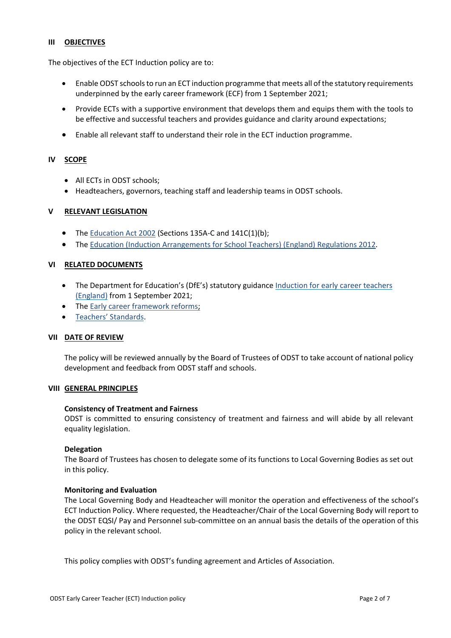#### **III OBJECTIVES**

The objectives of the ECT Induction policy are to:

- Enable ODST schools to run an ECT induction programme that meets all of the statutory requirements underpinned by the early career framework (ECF) from 1 September 2021;
- Provide ECTs with a supportive environment that develops them and equips them with the tools to be effective and successful teachers and provides guidance and clarity around expectations;
- Enable all relevant staff to understand their role in the ECT induction programme.

#### **IV SCOPE**

- All ECTs in ODST schools:
- Headteachers, governors, teaching staff and leadership teams in ODST schools.

#### **V RELEVANT LEGISLATION**

- The [Education Act 2002](https://www.legislation.gov.uk/ukpga/2002/32/section/135A) (Sections 135A-C and 141C(1)(b);
- The [Education \(Induction Arrangements for School Teachers\) \(England\) Regulations 2012.](https://www.legislation.gov.uk/uksi/2012/1115/contents/made)

#### **VI RELATED DOCUMENTS**

- The Department for Education's (DfE's) statutory guidance Induction for early career teachers [\(England\)](https://www.gov.uk/government/publications/induction-for-early-career-teachers-england) from 1 September 2021;
- The [Early career framework reforms;](https://www.gov.uk/government/collections/early-career-framework-reforms)
- [Teachers' Standards.](https://assets.publishing.service.gov.uk/government/uploads/system/uploads/attachment_data/file/665520/Teachers__Standards.pdf)

#### **VII DATE OF REVIEW**

The policy will be reviewed annually by the Board of Trustees of ODST to take account of national policy development and feedback from ODST staff and schools.

#### **VIII GENERAL PRINCIPLES**

#### **Consistency of Treatment and Fairness**

ODST is committed to ensuring consistency of treatment and fairness and will abide by all relevant equality legislation.

#### **Delegation**

The Board of Trustees has chosen to delegate some of its functions to Local Governing Bodies as set out in this policy.

#### **Monitoring and Evaluation**

The Local Governing Body and Headteacher will monitor the operation and effectiveness of the school's ECT Induction Policy. Where requested, the Headteacher/Chair of the Local Governing Body will report to the ODST EQSI/ Pay and Personnel sub-committee on an annual basis the details of the operation of this policy in the relevant school.

This policy complies with ODST's funding agreement and Articles of Association.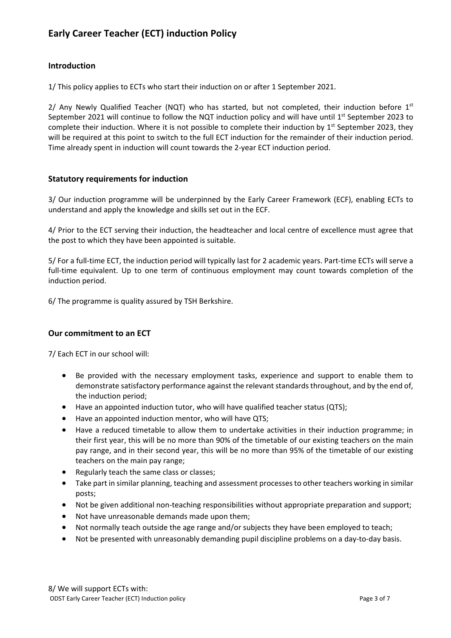# **Early Career Teacher (ECT) induction Policy**

## **Introduction**

1/ This policy applies to ECTs who start their induction on or after 1 September 2021.

2/ Any Newly Qualified Teacher (NQT) who has started, but not completed, their induction before  $1^{st}$ September 2021 will continue to follow the NQT induction policy and will have until  $1^{st}$  September 2023 to complete their induction. Where it is not possible to complete their induction by  $1<sup>st</sup>$  September 2023, they will be required at this point to switch to the full ECT induction for the remainder of their induction period. Time already spent in induction will count towards the 2-year ECT induction period.

## **Statutory requirements for induction**

3/ Our induction programme will be underpinned by the Early Career Framework (ECF), enabling ECTs to understand and apply the knowledge and skills set out in the ECF.

4/ Prior to the ECT serving their induction, the headteacher and local centre of excellence must agree that the post to which they have been appointed is suitable.

5/ For a full-time ECT, the induction period will typically last for 2 academic years. Part-time ECTs will serve a full-time equivalent. Up to one term of continuous employment may count towards completion of the induction period.

6/ The programme is quality assured by TSH Berkshire.

#### **Our commitment to an ECT**

7/ Each ECT in our school will:

- Be provided with the necessary employment tasks, experience and support to enable them to demonstrate satisfactory performance against the relevant standards throughout, and by the end of, the induction period;
- Have an appointed induction tutor, who will have qualified teacher status (QTS);
- Have an appointed induction mentor, who will have QTS;
- Have a reduced timetable to allow them to undertake activities in their induction programme; in their first year, this will be no more than 90% of the timetable of our existing teachers on the main pay range, and in their second year, this will be no more than 95% of the timetable of our existing teachers on the main pay range;
- Regularly teach the same class or classes;
- Take part in similar planning, teaching and assessment processes to other teachers working in similar posts;
- Not be given additional non-teaching responsibilities without appropriate preparation and support;
- Not have unreasonable demands made upon them;
- Not normally teach outside the age range and/or subjects they have been employed to teach;
- Not be presented with unreasonably demanding pupil discipline problems on a day-to-day basis.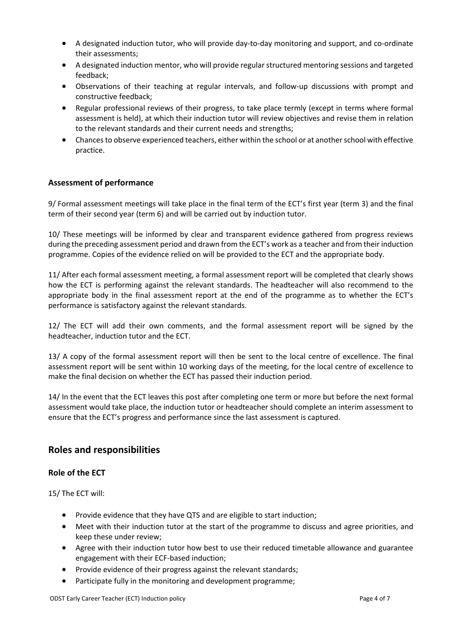- A designated induction tutor, who will provide day-to-day monitoring and support, and co-ordinate their assessments;
- A designated induction mentor, who will provide regular structured mentoring sessions and targeted feedback;
- Observations of their teaching at regular intervals, and follow-up discussions with prompt and constructive feedback;
- Regular professional reviews of their progress, to take place termly (except in terms where formal assessment is held), at which their induction tutor will review objectives and revise them in relation to the relevant standards and their current needs and strengths;
- Chances to observe experienced teachers, either within the school or at another school with effective practice.

## **Assessment of performance**

9/ Formal assessment meetings will take place in the final term of the ECT's first year (term 3) and the final term of their second year (term 6) and will be carried out by induction tutor.

10/ These meetings will be informed by clear and transparent evidence gathered from progress reviews during the preceding assessment period and drawn from the ECT's work as a teacher and from their induction programme. Copies of the evidence relied on will be provided to the ECT and the appropriate body.

11/ After each formal assessment meeting, a formal assessment report will be completed that clearly shows how the ECT is performing against the relevant standards. The headteacher will also recommend to the appropriate body in the final assessment report at the end of the programme as to whether the ECT's performance is satisfactory against the relevant standards.

12/ The ECT will add their own comments, and the formal assessment report will be signed by the headteacher, induction tutor and the ECT.

13/ A copy of the formal assessment report will then be sent to the local centre of excellence. The final assessment report will be sent within 10 working days of the meeting, for the local centre of excellence to make the final decision on whether the ECT has passed their induction period.

14/ In the event that the ECT leaves this post after completing one term or more but before the next formal assessment would take place, the induction tutor or headteacher should complete an interim assessment to ensure that the ECT's progress and performance since the last assessment is captured.

## **Roles and responsibilities**

## **Role of the ECT**

15/ The ECT will:

- Provide evidence that they have QTS and are eligible to start induction;
- Meet with their induction tutor at the start of the programme to discuss and agree priorities, and keep these under review;
- Agree with their induction tutor how best to use their reduced timetable allowance and guarantee engagement with their ECF-based induction;
- Provide evidence of their progress against the relevant standards;
- Participate fully in the monitoring and development programme;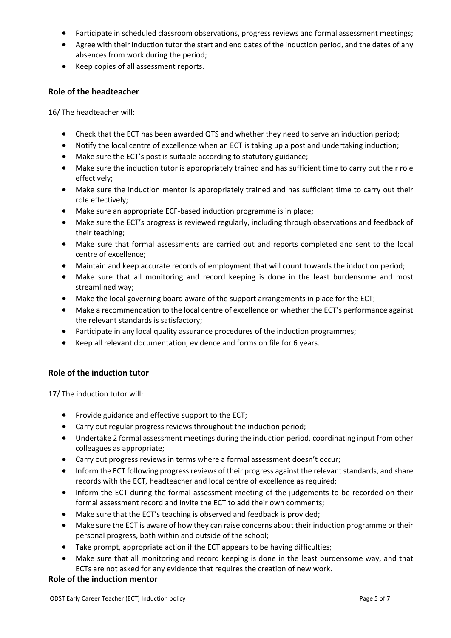- Participate in scheduled classroom observations, progress reviews and formal assessment meetings;
- Agree with their induction tutor the start and end dates of the induction period, and the dates of any absences from work during the period;
- Keep copies of all assessment reports.

#### **Role of the headteacher**

16/ The headteacher will:

- Check that the ECT has been awarded QTS and whether they need to serve an induction period;
- Notify the local centre of excellence when an ECT is taking up a post and undertaking induction;
- Make sure the ECT's post is suitable according to statutory guidance;
- Make sure the induction tutor is appropriately trained and has sufficient time to carry out their role effectively;
- Make sure the induction mentor is appropriately trained and has sufficient time to carry out their role effectively;
- Make sure an appropriate ECF-based induction programme is in place;
- Make sure the ECT's progress is reviewed regularly, including through observations and feedback of their teaching;
- Make sure that formal assessments are carried out and reports completed and sent to the local centre of excellence;
- Maintain and keep accurate records of employment that will count towards the induction period;
- Make sure that all monitoring and record keeping is done in the least burdensome and most streamlined way;
- Make the local governing board aware of the support arrangements in place for the ECT;
- Make a recommendation to the local centre of excellence on whether the ECT's performance against the relevant standards is satisfactory;
- Participate in any local quality assurance procedures of the induction programmes;
- Keep all relevant documentation, evidence and forms on file for 6 years.

## **Role of the induction tutor**

17/ The induction tutor will:

- Provide guidance and effective support to the ECT;
- Carry out regular progress reviews throughout the induction period;
- Undertake 2 formal assessment meetings during the induction period, coordinating input from other colleagues as appropriate;
- Carry out progress reviews in terms where a formal assessment doesn't occur;
- Inform the ECT following progress reviews of their progress against the relevant standards, and share records with the ECT, headteacher and local centre of excellence as required;
- Inform the ECT during the formal assessment meeting of the judgements to be recorded on their formal assessment record and invite the ECT to add their own comments;
- Make sure that the ECT's teaching is observed and feedback is provided;
- Make sure the ECT is aware of how they can raise concerns about their induction programme or their personal progress, both within and outside of the school;
- Take prompt, appropriate action if the ECT appears to be having difficulties;
- Make sure that all monitoring and record keeping is done in the least burdensome way, and that ECTs are not asked for any evidence that requires the creation of new work.

#### **Role of the induction mentor**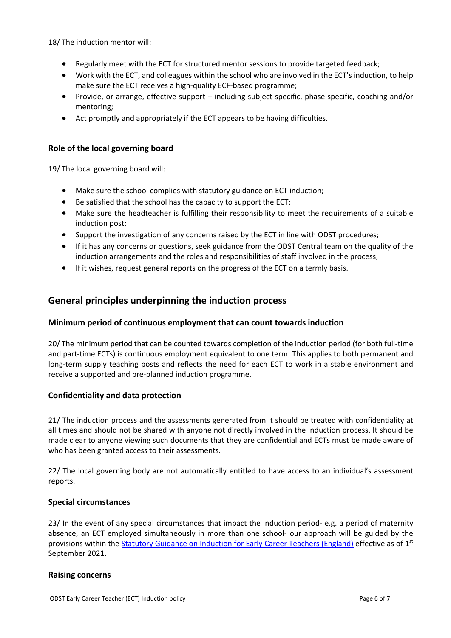18/ The induction mentor will:

- Regularly meet with the ECT for structured mentor sessions to provide targeted feedback;
- Work with the ECT, and colleagues within the school who are involved in the ECT's induction, to help make sure the ECT receives a high-quality ECF-based programme;
- Provide, or arrange, effective support including subject-specific, phase-specific, coaching and/or mentoring;
- Act promptly and appropriately if the ECT appears to be having difficulties.

### **Role of the local governing board**

19/ The local governing board will:

- Make sure the school complies with statutory guidance on ECT induction;
- Be satisfied that the school has the capacity to support the ECT;
- Make sure the headteacher is fulfilling their responsibility to meet the requirements of a suitable induction post;
- Support the investigation of any concerns raised by the ECT in line with ODST procedures;
- If it has any concerns or questions, seek guidance from the ODST Central team on the quality of the induction arrangements and the roles and responsibilities of staff involved in the process;
- If it wishes, request general reports on the progress of the ECT on a termly basis.

## **General principles underpinning the induction process**

## **Minimum period of continuous employment that can count towards induction**

20/ The minimum period that can be counted towards completion of the induction period (for both full-time and part-time ECTs) is continuous employment equivalent to one term. This applies to both permanent and long-term supply teaching posts and reflects the need for each ECT to work in a stable environment and receive a supported and pre-planned induction programme.

## **Confidentiality and data protection**

21/ The induction process and the assessments generated from it should be treated with confidentiality at all times and should not be shared with anyone not directly involved in the induction process. It should be made clear to anyone viewing such documents that they are confidential and ECTs must be made aware of who has been granted access to their assessments.

22/ The local governing body are not automatically entitled to have access to an individual's assessment reports.

#### **Special circumstances**

23/ In the event of any special circumstances that impact the induction period- e.g. a period of maternity absence, an ECT employed simultaneously in more than one school- our approach will be guided by the provisions within the [Statutory Guidance on Induction for Early Career Teachers \(England\)](https://assets.publishing.service.gov.uk/government/uploads/system/uploads/attachment_data/file/972316/Statutory_Induction_Guidance_2021_final__002_____1___1_.pdf) effective as of 1<sup>st</sup> September 2021.

#### **Raising concerns**